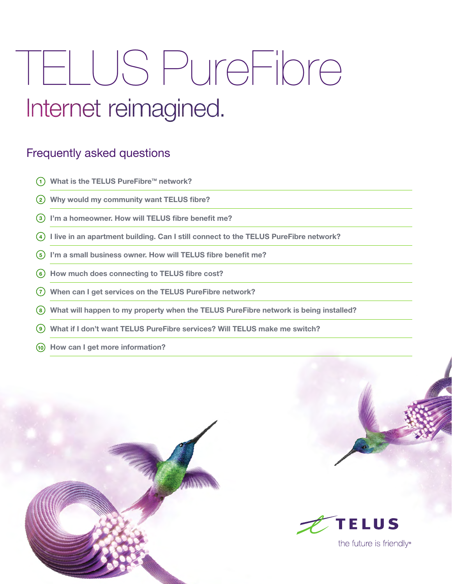# TELUS PureFibre Internet reimagined.

# Frequently asked questions

- **1)** What is the TELUS PureFibre™ network?
- **Why would my community want TELUS fibre?**
- **I'm a homeowner. How will TELUS fibre benefit me?**
- **I live in an apartment building. Can I still connect to the TELUS PureFibre network?**
- **I'm a small business owner. How will TELUS fibre benefit me?**
- **How much does connecting to TELUS fibre cost?**
- **When can I get services on the TELUS PureFibre network?**
- **What will happen to my property when the TELUS PureFibre network is being installed?**
- **What if I don't want TELUS PureFibre services? Will TELUS make me switch?**
- **How can I get more information?**



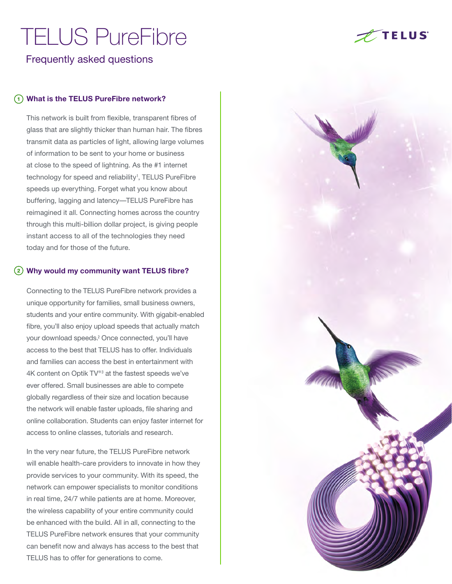Frequently asked questions

#### **What is the TELUS PureFibre network? 1**

This network is built from flexible, transparent fibres of glass that are slightly thicker than human hair. The fibres transmit data as particles of light, allowing large volumes of information to be sent to your home or business at close to the speed of lightning. As the #1 internet technology for speed and reliability<sup>1</sup>, TELUS PureFibre speeds up everything. Forget what you know about buffering, lagging and latency—TELUS PureFibre has reimagined it all. Connecting homes across the country through this multi-billion dollar project, is giving people instant access to all of the technologies they need today and for those of the future.

#### **Why would my community want TELUS fibre? 2**

Connecting to the TELUS PureFibre network provides a unique opportunity for families, small business owners, students and your entire community. With gigabit-enabled fibre, you'll also enjoy upload speeds that actually match your download speeds.<sup>2</sup> Once connected, you'll have access to the best that TELUS has to offer. Individuals and families can access the best in entertainment with 4K content on Optik  $TV^{\circledast}$  at the fastest speeds we've ever offered. Small businesses are able to compete globally regardless of their size and location because the network will enable faster uploads, file sharing and online collaboration. Students can enjoy faster internet for access to online classes, tutorials and research.

In the very near future, the TELUS PureFibre network will enable health-care providers to innovate in how they provide services to your community. With its speed, the network can empower specialists to monitor conditions in real time, 24/7 while patients are at home. Moreover, the wireless capability of your entire community could be enhanced with the build. All in all, connecting to the TELUS PureFibre network ensures that your community can benefit now and always has access to the best that TELUS has to offer for generations to come.



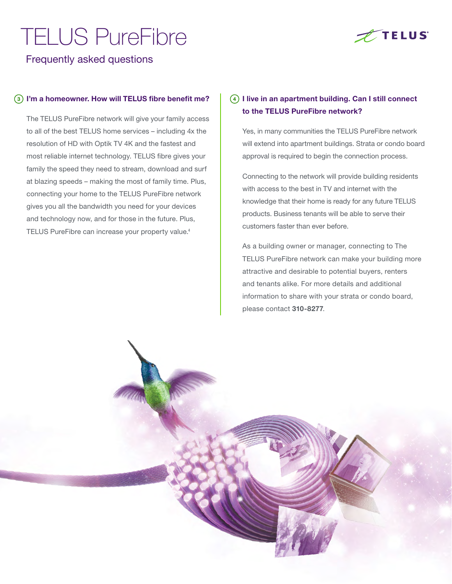

Frequently asked questions

#### $\overline{\text{S}}$ ) I'm a homeowner. How will TELUS fibre benefit me?  $\begin{bmatrix} 4 \end{bmatrix}$

The TELUS PureFibre network will give your family access to all of the best TELUS home services – including 4x the resolution of HD with Optik TV 4K and the fastest and most reliable internet technology. TELUS fibre gives your family the speed they need to stream, download and surf at blazing speeds – making the most of family time. Plus, connecting your home to the TELUS PureFibre network gives you all the bandwidth you need for your devices and technology now, and for those in the future. Plus, TELUS PureFibre can increase your property value.<sup>4</sup>

### **I live in an apartment building. Can I still connect to the TELUS PureFibre network?**

Yes, in many communities the TELUS PureFibre network will extend into apartment buildings. Strata or condo board approval is required to begin the connection process.

Connecting to the network will provide building residents with access to the best in TV and internet with the knowledge that their home is ready for any future TELUS products. Business tenants will be able to serve their customers faster than ever before.

As a building owner or manager, connecting to The TELUS PureFibre network can make your building more attractive and desirable to potential buyers, renters and tenants alike. For more details and additional information to share with your strata or condo board, please contact **310-8277**.

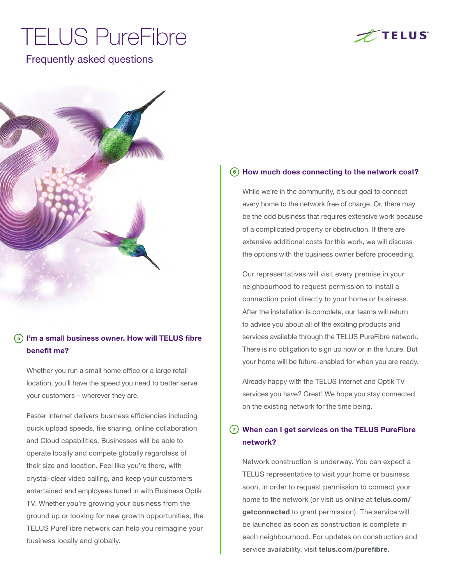## Frequently asked questions





### **I'm a small business owner. How will TELUS fibre 5 benefit me?**

Whether you run a small home office or a large retail location, you'll have the speed you need to better serve your customers – wherever they are.

Faster internet delivers business efficiencies including quick upload speeds, file sharing, online collaboration and Cloud capabilities. Businesses will be able to operate locally and compete globally regardless of their size and location. Feel like you're there, with crystal-clear video calling, and keep your customers entertained and employees tuned in with Business Optik TV. Whether you're growing your business from the ground up or looking for new growth opportunities, the TELUS PureFibre network can help you reimagine your business locally and globally.

#### **How much does connecting to the network cost? 6**

While we're in the community, it's our goal to connect every home to the network free of charge. Or, there may be the odd business that requires extensive work because of a complicated property or obstruction. If there are extensive additional costs for this work, we will discuss the options with the business owner before proceeding.

Our representatives will visit every premise in your neighbourhood to request permission to install a connection point directly to your home or business. After the installation is complete, our teams will return to advise you about all of the exciting products and services available through the TELUS PureFibre network. There is no obligation to sign up now or in the future. But your home will be future-enabled for when you are ready.

Already happy with the TELUS Internet and Optik TV services you have? Great! We hope you stay connected on the existing network for the time being.

#### **When can I get services on the TELUS PureFibre 7network?**

Network construction is underway. You can expect a TELUS representative to visit your home or business soon, in order to request permission to connect your home to the network (or visit us online at **telus.com/ getconnected** to grant permission). The service will be launched as soon as construction is complete in each neighbourhood. For updates on construction and service availability, visit **[telus.com/](https://fibre.telus.com/)purefibre**.